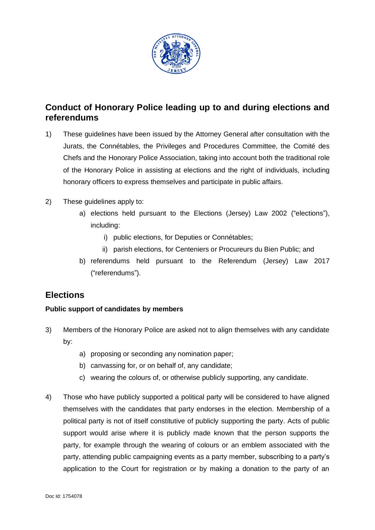

# **Conduct of Honorary Police leading up to and during elections and referendums**

- 1) These guidelines have been issued by the Attorney General after consultation with the Jurats, the Connétables, the Privileges and Procedures Committee, the Comité des Chefs and the Honorary Police Association, taking into account both the traditional role of the Honorary Police in assisting at elections and the right of individuals, including honorary officers to express themselves and participate in public affairs.
- 2) These guidelines apply to:
	- a) elections held pursuant to the Elections (Jersey) Law 2002 ("elections"), including:
		- i) public elections, for Deputies or Connétables;
		- ii) parish elections, for Centeniers or Procureurs du Bien Public; and
	- b) referendums held pursuant to the Referendum (Jersey) Law 2017 ("referendums").

# **Elections**

### **Public support of candidates by members**

- 3) Members of the Honorary Police are asked not to align themselves with any candidate by:
	- a) proposing or seconding any nomination paper;
	- b) canvassing for, or on behalf of, any candidate;
	- c) wearing the colours of, or otherwise publicly supporting, any candidate.
- 4) Those who have publicly supported a political party will be considered to have aligned themselves with the candidates that party endorses in the election. Membership of a political party is not of itself constitutive of publicly supporting the party. Acts of public support would arise where it is publicly made known that the person supports the party, for example through the wearing of colours or an emblem associated with the party, attending public campaigning events as a party member, subscribing to a party's application to the Court for registration or by making a donation to the party of an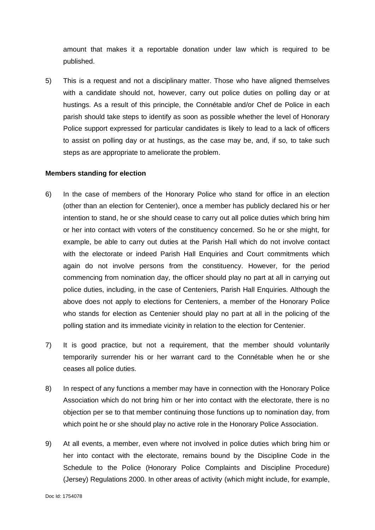amount that makes it a reportable donation under law which is required to be published.

5) This is a request and not a disciplinary matter. Those who have aligned themselves with a candidate should not, however, carry out police duties on polling day or at hustings. As a result of this principle, the Connétable and/or Chef de Police in each parish should take steps to identify as soon as possible whether the level of Honorary Police support expressed for particular candidates is likely to lead to a lack of officers to assist on polling day or at hustings, as the case may be, and, if so, to take such steps as are appropriate to ameliorate the problem.

#### **Members standing for election**

- 6) In the case of members of the Honorary Police who stand for office in an election (other than an election for Centenier), once a member has publicly declared his or her intention to stand, he or she should cease to carry out all police duties which bring him or her into contact with voters of the constituency concerned. So he or she might, for example, be able to carry out duties at the Parish Hall which do not involve contact with the electorate or indeed Parish Hall Enquiries and Court commitments which again do not involve persons from the constituency. However, for the period commencing from nomination day, the officer should play no part at all in carrying out police duties, including, in the case of Centeniers, Parish Hall Enquiries. Although the above does not apply to elections for Centeniers, a member of the Honorary Police who stands for election as Centenier should play no part at all in the policing of the polling station and its immediate vicinity in relation to the election for Centenier.
- 7) It is good practice, but not a requirement, that the member should voluntarily temporarily surrender his or her warrant card to the Connétable when he or she ceases all police duties.
- 8) In respect of any functions a member may have in connection with the Honorary Police Association which do not bring him or her into contact with the electorate, there is no objection per se to that member continuing those functions up to nomination day, from which point he or she should play no active role in the Honorary Police Association.
- 9) At all events, a member, even where not involved in police duties which bring him or her into contact with the electorate, remains bound by the Discipline Code in the Schedule to the Police (Honorary Police Complaints and Discipline Procedure) (Jersey) Regulations 2000. In other areas of activity (which might include, for example,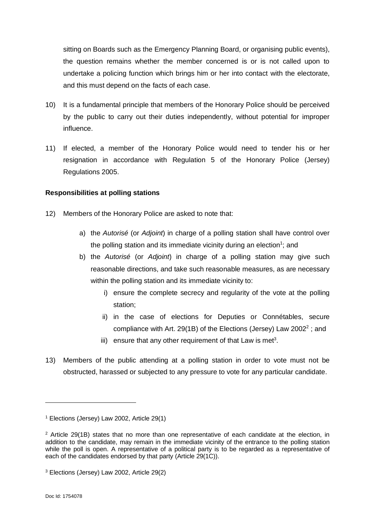sitting on Boards such as the Emergency Planning Board, or organising public events), the question remains whether the member concerned is or is not called upon to undertake a policing function which brings him or her into contact with the electorate, and this must depend on the facts of each case.

- 10) It is a fundamental principle that members of the Honorary Police should be perceived by the public to carry out their duties independently, without potential for improper influence.
- 11) If elected, a member of the Honorary Police would need to tender his or her resignation in accordance with Regulation 5 of the Honorary Police (Jersey) Regulations 2005.

### **Responsibilities at polling stations**

- 12) Members of the Honorary Police are asked to note that:
	- a) the *Autorisé* (or *Adjoint*) in charge of a polling station shall have control over the polling station and its immediate vicinity during an election<sup>1</sup>; and
	- b) the *Autorisé* (or *Adjoint*) in charge of a polling station may give such reasonable directions, and take such reasonable measures, as are necessary within the polling station and its immediate vicinity to:
		- i) ensure the complete secrecy and regularity of the vote at the polling station;
		- ii) in the case of elections for Deputies or Connétables, secure compliance with Art. 29(1B) of the Elections (Jersey) Law 2002<sup>2</sup>; and
		- iii) ensure that any other requirement of that Law is met<sup>3</sup>.
- 13) Members of the public attending at a polling station in order to vote must not be obstructed, harassed or subjected to any pressure to vote for any particular candidate.

<sup>1</sup> Elections (Jersey) Law 2002, Article 29(1)

 $2$  Article 29(1B) states that no more than one representative of each candidate at the election, in addition to the candidate, may remain in the immediate vicinity of the entrance to the polling station while the poll is open. A representative of a political party is to be regarded as a representative of each of the candidates endorsed by that party (Article 29(1C)).

<sup>3</sup> Elections (Jersey) Law 2002, Article 29(2)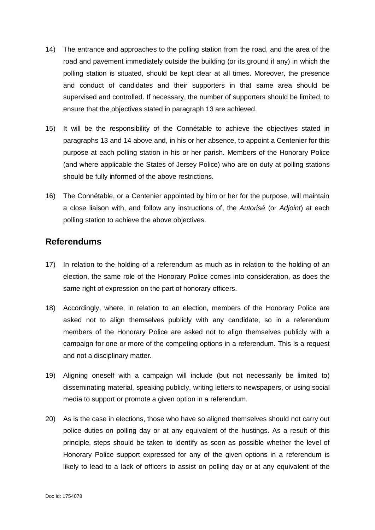- 14) The entrance and approaches to the polling station from the road, and the area of the road and pavement immediately outside the building (or its ground if any) in which the polling station is situated, should be kept clear at all times. Moreover, the presence and conduct of candidates and their supporters in that same area should be supervised and controlled. If necessary, the number of supporters should be limited, to ensure that the objectives stated in paragraph 13 are achieved.
- 15) It will be the responsibility of the Connétable to achieve the objectives stated in paragraphs 13 and 14 above and, in his or her absence, to appoint a Centenier for this purpose at each polling station in his or her parish. Members of the Honorary Police (and where applicable the States of Jersey Police) who are on duty at polling stations should be fully informed of the above restrictions.
- 16) The Connétable, or a Centenier appointed by him or her for the purpose, will maintain a close liaison with, and follow any instructions of, the *Autorisé* (or *Adjoint*) at each polling station to achieve the above objectives.

# **Referendums**

- 17) In relation to the holding of a referendum as much as in relation to the holding of an election, the same role of the Honorary Police comes into consideration, as does the same right of expression on the part of honorary officers.
- 18) Accordingly, where, in relation to an election, members of the Honorary Police are asked not to align themselves publicly with any candidate, so in a referendum members of the Honorary Police are asked not to align themselves publicly with a campaign for one or more of the competing options in a referendum. This is a request and not a disciplinary matter.
- 19) Aligning oneself with a campaign will include (but not necessarily be limited to) disseminating material, speaking publicly, writing letters to newspapers, or using social media to support or promote a given option in a referendum.
- 20) As is the case in elections, those who have so aligned themselves should not carry out police duties on polling day or at any equivalent of the hustings. As a result of this principle, steps should be taken to identify as soon as possible whether the level of Honorary Police support expressed for any of the given options in a referendum is likely to lead to a lack of officers to assist on polling day or at any equivalent of the